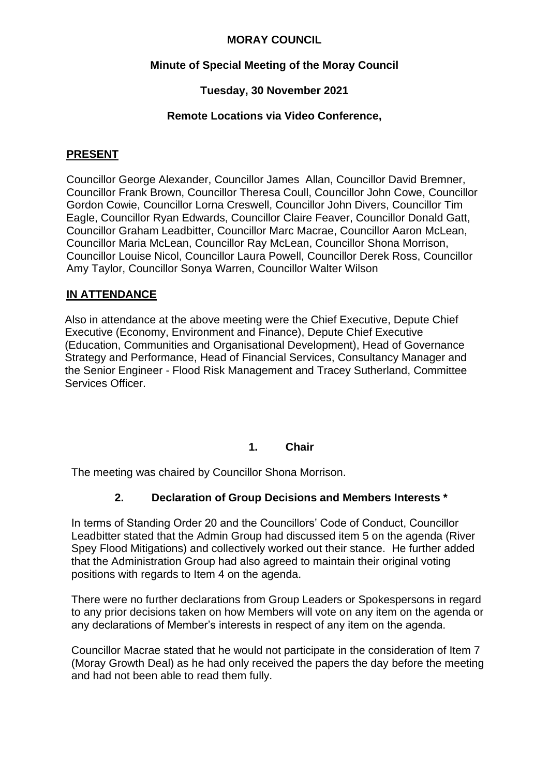### **MORAY COUNCIL**

## **Minute of Special Meeting of the Moray Council**

## **Tuesday, 30 November 2021**

### **Remote Locations via Video Conference,**

#### **PRESENT**

Councillor George Alexander, Councillor James Allan, Councillor David Bremner, Councillor Frank Brown, Councillor Theresa Coull, Councillor John Cowe, Councillor Gordon Cowie, Councillor Lorna Creswell, Councillor John Divers, Councillor Tim Eagle, Councillor Ryan Edwards, Councillor Claire Feaver, Councillor Donald Gatt, Councillor Graham Leadbitter, Councillor Marc Macrae, Councillor Aaron McLean, Councillor Maria McLean, Councillor Ray McLean, Councillor Shona Morrison, Councillor Louise Nicol, Councillor Laura Powell, Councillor Derek Ross, Councillor Amy Taylor, Councillor Sonya Warren, Councillor Walter Wilson

#### **IN ATTENDANCE**

Also in attendance at the above meeting were the Chief Executive, Depute Chief Executive (Economy, Environment and Finance), Depute Chief Executive (Education, Communities and Organisational Development), Head of Governance Strategy and Performance, Head of Financial Services, Consultancy Manager and the Senior Engineer - Flood Risk Management and Tracey Sutherland, Committee Services Officer.

#### **1. Chair**

The meeting was chaired by Councillor Shona Morrison.

# **2. Declaration of Group Decisions and Members Interests \***

In terms of Standing Order 20 and the Councillors' Code of Conduct, Councillor Leadbitter stated that the Admin Group had discussed item 5 on the agenda (River Spey Flood Mitigations) and collectively worked out their stance. He further added that the Administration Group had also agreed to maintain their original voting positions with regards to Item 4 on the agenda.

There were no further declarations from Group Leaders or Spokespersons in regard to any prior decisions taken on how Members will vote on any item on the agenda or any declarations of Member's interests in respect of any item on the agenda.

Councillor Macrae stated that he would not participate in the consideration of Item 7 (Moray Growth Deal) as he had only received the papers the day before the meeting and had not been able to read them fully.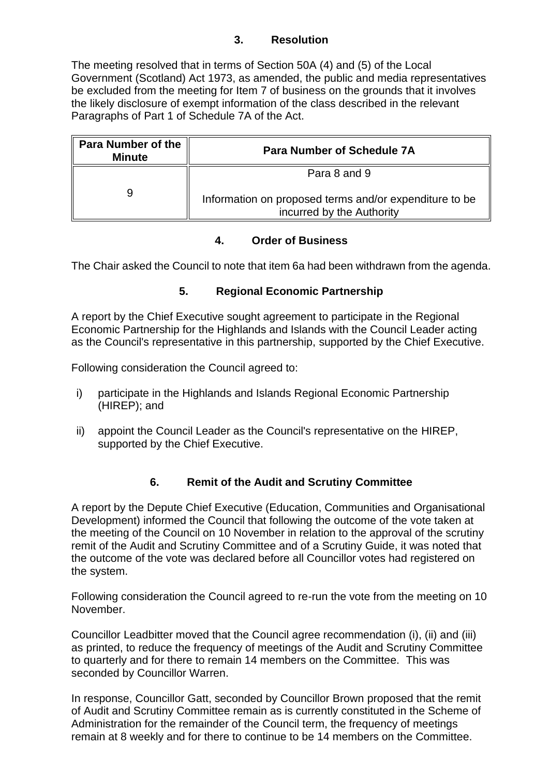## **3. Resolution**

The meeting resolved that in terms of Section 50A (4) and (5) of the Local Government (Scotland) Act 1973, as amended, the public and media representatives be excluded from the meeting for Item 7 of business on the grounds that it involves the likely disclosure of exempt information of the class described in the relevant Paragraphs of Part 1 of Schedule 7A of the Act.

| <b>Para Number of the</b><br><b>Minute</b> | <b>Para Number of Schedule 7A</b>                                                   |
|--------------------------------------------|-------------------------------------------------------------------------------------|
|                                            | Para 8 and 9                                                                        |
|                                            | Information on proposed terms and/or expenditure to be<br>incurred by the Authority |

#### **4. Order of Business**

The Chair asked the Council to note that item 6a had been withdrawn from the agenda.

# **5. Regional Economic Partnership**

A report by the Chief Executive sought agreement to participate in the Regional Economic Partnership for the Highlands and Islands with the Council Leader acting as the Council's representative in this partnership, supported by the Chief Executive.

Following consideration the Council agreed to:

- i) participate in the Highlands and Islands Regional Economic Partnership (HIREP); and
- ii) appoint the Council Leader as the Council's representative on the HIREP, supported by the Chief Executive.

# **6. Remit of the Audit and Scrutiny Committee**

A report by the Depute Chief Executive (Education, Communities and Organisational Development) informed the Council that following the outcome of the vote taken at the meeting of the Council on 10 November in relation to the approval of the scrutiny remit of the Audit and Scrutiny Committee and of a Scrutiny Guide, it was noted that the outcome of the vote was declared before all Councillor votes had registered on the system.

Following consideration the Council agreed to re-run the vote from the meeting on 10 November.

Councillor Leadbitter moved that the Council agree recommendation (i), (ii) and (iii) as printed, to reduce the frequency of meetings of the Audit and Scrutiny Committee to quarterly and for there to remain 14 members on the Committee. This was seconded by Councillor Warren.

In response, Councillor Gatt, seconded by Councillor Brown proposed that the remit of Audit and Scrutiny Committee remain as is currently constituted in the Scheme of Administration for the remainder of the Council term, the frequency of meetings remain at 8 weekly and for there to continue to be 14 members on the Committee.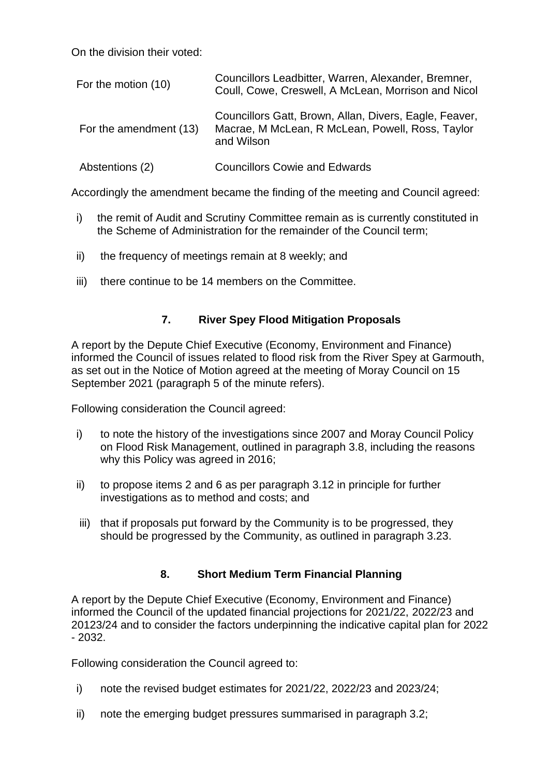On the division their voted:

| For the motion (10)    | Councillors Leadbitter, Warren, Alexander, Bremner,<br>Coull, Cowe, Creswell, A McLean, Morrison and Nicol               |
|------------------------|--------------------------------------------------------------------------------------------------------------------------|
| For the amendment (13) | Councillors Gatt, Brown, Allan, Divers, Eagle, Feaver,<br>Macrae, M McLean, R McLean, Powell, Ross, Taylor<br>and Wilson |
| Abstentions (2)        | <b>Councillors Cowie and Edwards</b>                                                                                     |

Accordingly the amendment became the finding of the meeting and Council agreed:

- i) the remit of Audit and Scrutiny Committee remain as is currently constituted in the Scheme of Administration for the remainder of the Council term;
- ii) the frequency of meetings remain at 8 weekly; and
- iii) there continue to be 14 members on the Committee.

# **7. River Spey Flood Mitigation Proposals**

A report by the Depute Chief Executive (Economy, Environment and Finance) informed the Council of issues related to flood risk from the River Spey at Garmouth, as set out in the Notice of Motion agreed at the meeting of Moray Council on 15 September 2021 (paragraph 5 of the minute refers).

Following consideration the Council agreed:

- i) to note the history of the investigations since 2007 and Moray Council Policy on Flood Risk Management, outlined in paragraph 3.8, including the reasons why this Policy was agreed in 2016;
- ii) to propose items 2 and 6 as per paragraph 3.12 in principle for further investigations as to method and costs; and
- iii) that if proposals put forward by the Community is to be progressed, they should be progressed by the Community, as outlined in paragraph 3.23.

# **8. Short Medium Term Financial Planning**

A report by the Depute Chief Executive (Economy, Environment and Finance) informed the Council of the updated financial projections for 2021/22, 2022/23 and 20123/24 and to consider the factors underpinning the indicative capital plan for 2022 - 2032.

Following consideration the Council agreed to:

- i) note the revised budget estimates for 2021/22, 2022/23 and 2023/24;
- ii) note the emerging budget pressures summarised in paragraph 3.2;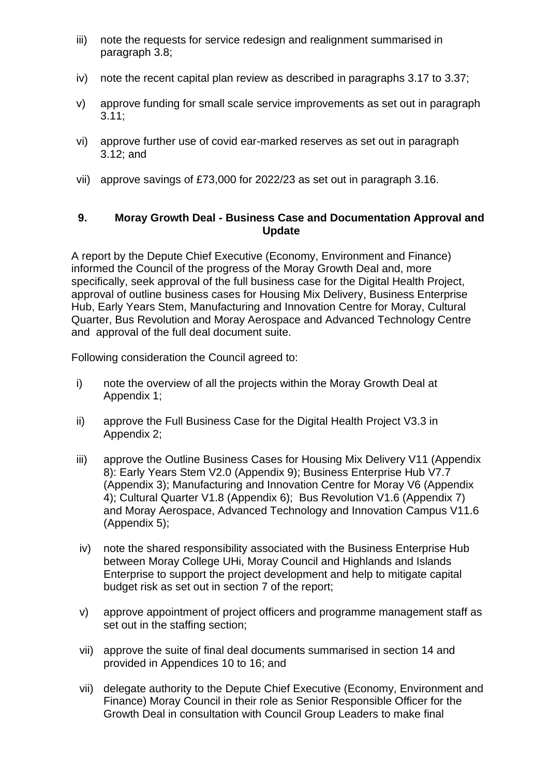- iii) note the requests for service redesign and realignment summarised in paragraph 3.8;
- iv) note the recent capital plan review as described in paragraphs 3.17 to 3.37;
- v) approve funding for small scale service improvements as set out in paragraph 3.11;
- vi) approve further use of covid ear-marked reserves as set out in paragraph 3.12; and
- vii) approve savings of £73,000 for 2022/23 as set out in paragraph 3.16.

## **9. Moray Growth Deal - Business Case and Documentation Approval and Update**

A report by the Depute Chief Executive (Economy, Environment and Finance) informed the Council of the progress of the Moray Growth Deal and, more specifically, seek approval of the full business case for the Digital Health Project, approval of outline business cases for Housing Mix Delivery, Business Enterprise Hub, Early Years Stem, Manufacturing and Innovation Centre for Moray, Cultural Quarter, Bus Revolution and Moray Aerospace and Advanced Technology Centre and approval of the full deal document suite.

Following consideration the Council agreed to:

- i) note the overview of all the projects within the Moray Growth Deal at Appendix 1;
- ii) approve the Full Business Case for the Digital Health Project V3.3 in Appendix 2;
- iii) approve the Outline Business Cases for Housing Mix Delivery V11 (Appendix 8): Early Years Stem V2.0 (Appendix 9); Business Enterprise Hub V7.7 (Appendix 3); Manufacturing and Innovation Centre for Moray V6 (Appendix 4); Cultural Quarter V1.8 (Appendix 6); Bus Revolution V1.6 (Appendix 7) and Moray Aerospace, Advanced Technology and Innovation Campus V11.6 (Appendix 5);
- iv) note the shared responsibility associated with the Business Enterprise Hub between Moray College UHi, Moray Council and Highlands and Islands Enterprise to support the project development and help to mitigate capital budget risk as set out in section 7 of the report;
- v) approve appointment of project officers and programme management staff as set out in the staffing section;
- vii) approve the suite of final deal documents summarised in section 14 and provided in Appendices 10 to 16; and
- vii) delegate authority to the Depute Chief Executive (Economy, Environment and Finance) Moray Council in their role as Senior Responsible Officer for the Growth Deal in consultation with Council Group Leaders to make final